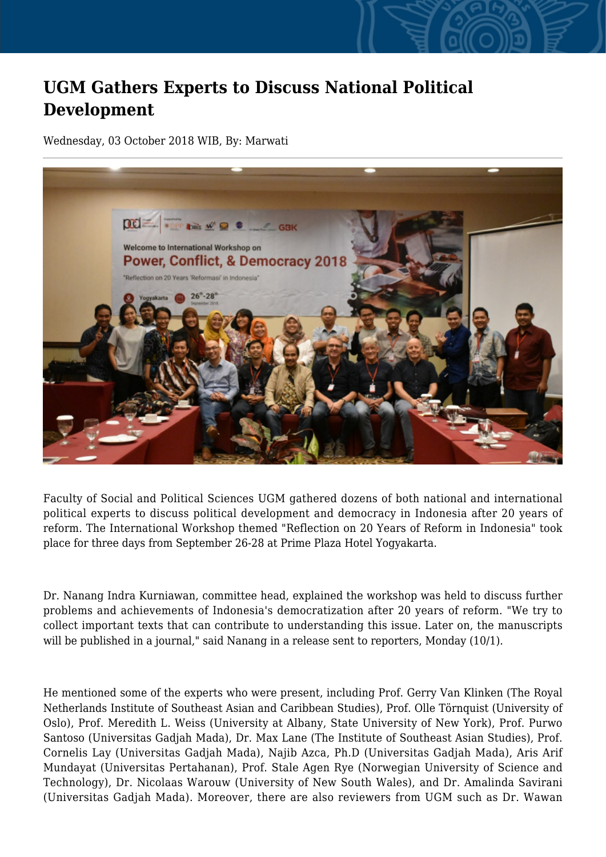## **UGM Gathers Experts to Discuss National Political Development**

Wednesday, 03 October 2018 WIB, By: Marwati



Faculty of Social and Political Sciences UGM gathered dozens of both national and international political experts to discuss political development and democracy in Indonesia after 20 years of reform. The International Workshop themed "Reflection on 20 Years of Reform in Indonesia" took place for three days from September 26-28 at Prime Plaza Hotel Yogyakarta.

Dr. Nanang Indra Kurniawan, committee head, explained the workshop was held to discuss further problems and achievements of Indonesia's democratization after 20 years of reform. "We try to collect important texts that can contribute to understanding this issue. Later on, the manuscripts will be published in a journal," said Nanang in a release sent to reporters, Monday (10/1).

He mentioned some of the experts who were present, including Prof. Gerry Van Klinken (The Royal Netherlands Institute of Southeast Asian and Caribbean Studies), Prof. Olle Törnquist (University of Oslo), Prof. Meredith L. Weiss (University at Albany, State University of New York), Prof. Purwo Santoso (Universitas Gadjah Mada), Dr. Max Lane (The Institute of Southeast Asian Studies), Prof. Cornelis Lay (Universitas Gadjah Mada), Najib Azca, Ph.D (Universitas Gadjah Mada), Aris Arif Mundayat (Universitas Pertahanan), Prof. Stale Agen Rye (Norwegian University of Science and Technology), Dr. Nicolaas Warouw (University of New South Wales), and Dr. Amalinda Savirani (Universitas Gadjah Mada). Moreover, there are also reviewers from UGM such as Dr. Wawan